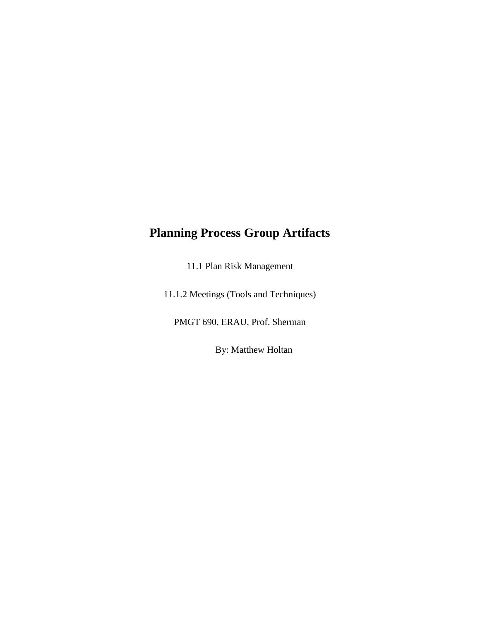## **Planning Process Group Artifacts**

11.1 Plan Risk Management

11.1.2 Meetings (Tools and Techniques)

PMGT 690, ERAU, Prof. Sherman

By: Matthew Holtan